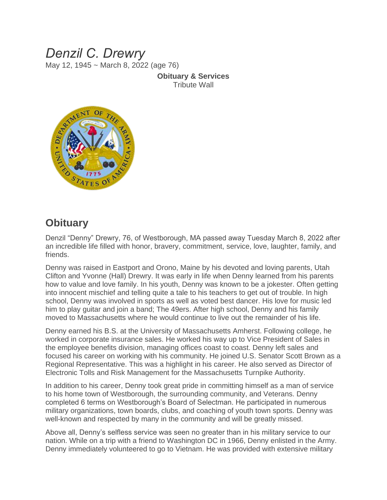## *Denzil C. Drewry*

May 12, 1945 ~ March 8, 2022 (age 76)

**Obituary & Services** Tribute Wall



## **Obituary**

Denzil "Denny" Drewry, 76, of Westborough, MA passed away Tuesday March 8, 2022 after an incredible life filled with honor, bravery, commitment, service, love, laughter, family, and friends.

Denny was raised in Eastport and Orono, Maine by his devoted and loving parents, Utah Clifton and Yvonne (Hall) Drewry. It was early in life when Denny learned from his parents how to value and love family. In his youth, Denny was known to be a jokester. Often getting into innocent mischief and telling quite a tale to his teachers to get out of trouble. In high school, Denny was involved in sports as well as voted best dancer. His love for music led him to play guitar and join a band; The 49ers. After high school, Denny and his family moved to Massachusetts where he would continue to live out the remainder of his life.

Denny earned his B.S. at the University of Massachusetts Amherst. Following college, he worked in corporate insurance sales. He worked his way up to Vice President of Sales in the employee benefits division, managing offices coast to coast. Denny left sales and focused his career on working with his community. He joined U.S. Senator Scott Brown as a Regional Representative. This was a highlight in his career. He also served as Director of Electronic Tolls and Risk Management for the Massachusetts Turnpike Authority.

In addition to his career, Denny took great pride in committing himself as a man of service to his home town of Westborough, the surrounding community, and Veterans. Denny completed 6 terms on Westborough's Board of Selectman. He participated in numerous military organizations, town boards, clubs, and coaching of youth town sports. Denny was well-known and respected by many in the community and will be greatly missed.

Above all, Denny's selfless service was seen no greater than in his military service to our nation. While on a trip with a friend to Washington DC in 1966, Denny enlisted in the Army. Denny immediately volunteered to go to Vietnam. He was provided with extensive military